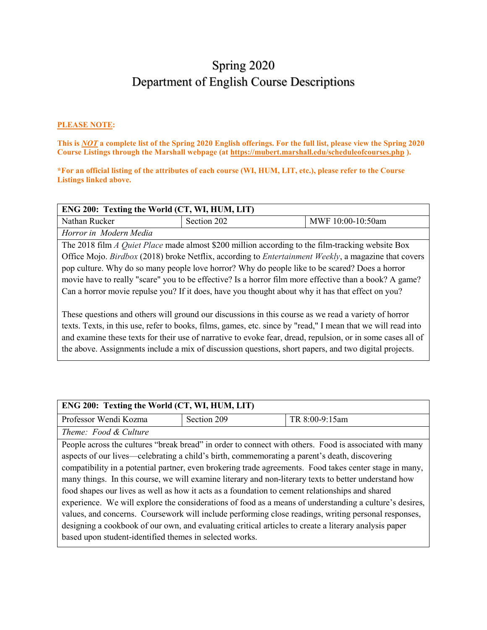# Spring 2020 Department of English Course Descriptions

#### **PLEASE NOTE:**

**This is** *NOT* **a complete list of the Spring 2020 English offerings. For the full list, please view the Spring 2020 Course Listings through the Marshall webpage (at https://mubert.marshall.edu/scheduleofcourses.php ).**

**\*For an official listing of the attributes of each course (WI, HUM, LIT, etc.), please refer to the Course Listings linked above.**

| ENG 200: Texting the World (CT, WI, HUM, LIT)                                                                |                                                                                                              |                   |
|--------------------------------------------------------------------------------------------------------------|--------------------------------------------------------------------------------------------------------------|-------------------|
| Nathan Rucker                                                                                                | Section 202                                                                                                  | MWF 10:00-10:50am |
| Horror in Modern Media                                                                                       |                                                                                                              |                   |
|                                                                                                              | The 2018 film A Quiet Place made almost \$200 million according to the film-tracking website Box             |                   |
|                                                                                                              | Office Mojo. Birdbox (2018) broke Netflix, according to <i>Entertainment Weekly</i> , a magazine that covers |                   |
|                                                                                                              | pop culture. Why do so many people love horror? Why do people like to be scared? Does a horror               |                   |
| movie have to really "scare" you to be effective? Is a horror film more effective than a book? A game?       |                                                                                                              |                   |
| Can a horror movie repulse you? If it does, have you thought about why it has that effect on you?            |                                                                                                              |                   |
|                                                                                                              |                                                                                                              |                   |
|                                                                                                              | These questions and others will ground our discussions in this course as we read a variety of horror         |                   |
| texts. Texts, in this use, refer to books, films, games, etc. since by "read," I mean that we will read into |                                                                                                              |                   |
| and examine these texts for their use of narrative to evoke fear, dread, repulsion, or in some cases all of  |                                                                                                              |                   |
|                                                                                                              | the above. Assignments include a mix of discussion questions, short papers, and two digital projects.        |                   |

| ENG 200: Texting the World (CT, WI, HUM, LIT)                                                           |             |                                                                                                        |  |
|---------------------------------------------------------------------------------------------------------|-------------|--------------------------------------------------------------------------------------------------------|--|
| Professor Wendi Kozma                                                                                   | Section 209 | TR 8:00-9:15am                                                                                         |  |
| Theme: Food & Culture                                                                                   |             |                                                                                                        |  |
|                                                                                                         |             | People across the cultures "break bread" in order to connect with others. Food is associated with many |  |
| aspects of our lives—celebrating a child's birth, commemorating a parent's death, discovering           |             |                                                                                                        |  |
| compatibility in a potential partner, even brokering trade agreements. Food takes center stage in many, |             |                                                                                                        |  |
| many things. In this course, we will examine literary and non-literary texts to better understand how   |             |                                                                                                        |  |
| food shapes our lives as well as how it acts as a foundation to cement relationships and shared         |             |                                                                                                        |  |
| experience. We will explore the considerations of food as a means of understanding a culture's desires, |             |                                                                                                        |  |
| values, and concerns. Coursework will include performing close readings, writing personal responses,    |             |                                                                                                        |  |
| designing a cookbook of our own, and evaluating critical articles to create a literary analysis paper   |             |                                                                                                        |  |
| based upon student-identified themes in selected works.                                                 |             |                                                                                                        |  |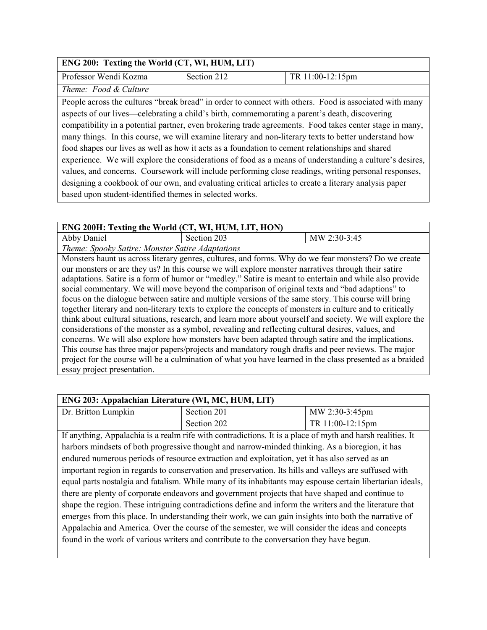| ENG 200: Texting the World (CT, WI, HUM, LIT)                                                           |             |                                                                                                        |  |
|---------------------------------------------------------------------------------------------------------|-------------|--------------------------------------------------------------------------------------------------------|--|
| Professor Wendi Kozma                                                                                   | Section 212 | TR 11:00-12:15pm                                                                                       |  |
| Theme: Food & Culture                                                                                   |             |                                                                                                        |  |
|                                                                                                         |             | People across the cultures "break bread" in order to connect with others. Food is associated with many |  |
| aspects of our lives—celebrating a child's birth, commemorating a parent's death, discovering           |             |                                                                                                        |  |
| compatibility in a potential partner, even brokering trade agreements. Food takes center stage in many, |             |                                                                                                        |  |
| many things. In this course, we will examine literary and non-literary texts to better understand how   |             |                                                                                                        |  |
| food shapes our lives as well as how it acts as a foundation to cement relationships and shared         |             |                                                                                                        |  |
| experience. We will explore the considerations of food as a means of understanding a culture's desires, |             |                                                                                                        |  |
| values, and concerns. Coursework will include performing close readings, writing personal responses,    |             |                                                                                                        |  |
| designing a cookbook of our own, and evaluating critical articles to create a literary analysis paper   |             |                                                                                                        |  |
| based upon student-identified themes in selected works.                                                 |             |                                                                                                        |  |

| ENG 200H: Texting the World (CT, WI, HUM, LIT, HON)                                                       |                                                                                                         |                                                                                                           |
|-----------------------------------------------------------------------------------------------------------|---------------------------------------------------------------------------------------------------------|-----------------------------------------------------------------------------------------------------------|
| Abby Daniel                                                                                               | Section 203                                                                                             | MW 2:30-3:45                                                                                              |
| Theme: Spooky Satire: Monster Satire Adaptations                                                          |                                                                                                         |                                                                                                           |
|                                                                                                           | Monsters haunt us across literary genres, cultures, and forms. Why do we fear monsters? Do we create    |                                                                                                           |
|                                                                                                           | our monsters or are they us? In this course we will explore monster narratives through their satire     |                                                                                                           |
|                                                                                                           | adaptations. Satire is a form of humor or "medley." Satire is meant to entertain and while also provide |                                                                                                           |
|                                                                                                           | social commentary. We will move beyond the comparison of original texts and "bad adaptions" to          |                                                                                                           |
| focus on the dialogue between satire and multiple versions of the same story. This course will bring      |                                                                                                         |                                                                                                           |
| together literary and non-literary texts to explore the concepts of monsters in culture and to critically |                                                                                                         |                                                                                                           |
| think about cultural situations, research, and learn more about yourself and society. We will explore the |                                                                                                         |                                                                                                           |
| considerations of the monster as a symbol, revealing and reflecting cultural desires, values, and         |                                                                                                         |                                                                                                           |
| concerns. We will also explore how monsters have been adapted through satire and the implications.        |                                                                                                         |                                                                                                           |
| This course has three major papers/projects and mandatory rough drafts and peer reviews. The major        |                                                                                                         |                                                                                                           |
|                                                                                                           |                                                                                                         | project for the course will be a culmination of what you have learned in the class presented as a braided |
| essay project presentation.                                                                               |                                                                                                         |                                                                                                           |

| ENG 203: Appalachian Literature (WI, MC, HUM, LIT)                                                      |                                                                                                            |                  |
|---------------------------------------------------------------------------------------------------------|------------------------------------------------------------------------------------------------------------|------------------|
| Dr. Britton Lumpkin                                                                                     | Section 201                                                                                                | MW 2:30-3:45pm   |
|                                                                                                         | Section 202                                                                                                | TR 11:00-12:15pm |
|                                                                                                         | If anything, Appalachia is a realm rife with contradictions. It is a place of myth and harsh realities. It |                  |
|                                                                                                         | harbors mindsets of both progressive thought and narrow-minded thinking. As a bioregion, it has            |                  |
|                                                                                                         | endured numerous periods of resource extraction and exploitation, yet it has also served as an             |                  |
| important region in regards to conservation and preservation. Its hills and valleys are suffused with   |                                                                                                            |                  |
|                                                                                                         | equal parts nostalgia and fatalism. While many of its inhabitants may espouse certain libertarian ideals,  |                  |
| there are plenty of corporate endeavors and government projects that have shaped and continue to        |                                                                                                            |                  |
| shape the region. These intriguing contradictions define and inform the writers and the literature that |                                                                                                            |                  |
| emerges from this place. In understanding their work, we can gain insights into both the narrative of   |                                                                                                            |                  |
| Appalachia and America. Over the course of the semester, we will consider the ideas and concepts        |                                                                                                            |                  |
| found in the work of various writers and contribute to the conversation they have begun.                |                                                                                                            |                  |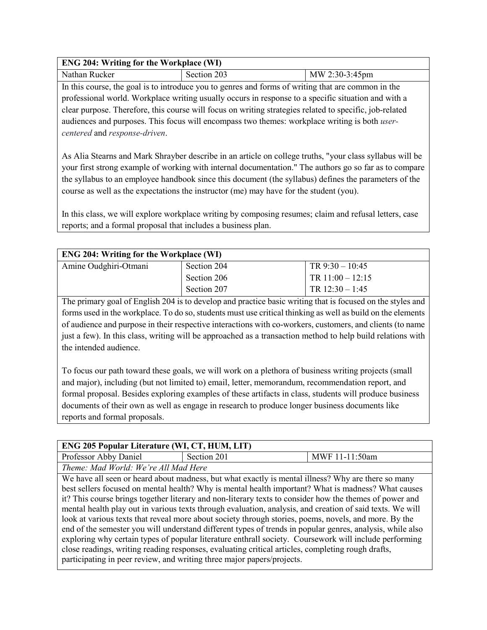| <b>ENG 204: Writing for the Workplace (WI)</b> |             |                |
|------------------------------------------------|-------------|----------------|
| Nathan Rucker                                  | Section 203 | MW 2:30-3:45pm |

In this course, the goal is to introduce you to genres and forms of writing that are common in the professional world. Workplace writing usually occurs in response to a specific situation and with a clear purpose. Therefore, this course will focus on writing strategies related to specific, job-related audiences and purposes. This focus will encompass two themes: workplace writing is both *usercentered* and *response-driven*.

As Alia Stearns and Mark Shrayber describe in an article on college truths, "your class syllabus will be your first strong example of working with internal documentation." The authors go so far as to compare the syllabus to an employee handbook since this document (the syllabus) defines the parameters of the course as well as the expectations the instructor (me) may have for the student (you).

In this class, we will explore workplace writing by composing resumes; claim and refusal letters, case reports; and a formal proposal that includes a business plan.

| <b>ENG 204: Writing for the Workplace (WI)</b> |             |                    |
|------------------------------------------------|-------------|--------------------|
| Amine Oudghiri-Otmani                          | Section 204 | TR $9:30 - 10:45$  |
|                                                | Section 206 | TR $11:00 - 12:15$ |
|                                                | Section 207 | TR $12:30 - 1:45$  |

The primary goal of English 204 is to develop and practice basic writing that is focused on the styles and forms used in the workplace. To do so, students must use critical thinking as well as build on the elements of audience and purpose in their respective interactions with co-workers, customers, and clients (to name just a few). In this class, writing will be approached as a transaction method to help build relations with the intended audience.

To focus our path toward these goals, we will work on a plethora of business writing projects (small and major), including (but not limited to) email, letter, memorandum, recommendation report, and formal proposal. Besides exploring examples of these artifacts in class, students will produce business documents of their own as well as engage in research to produce longer business documents like reports and formal proposals.

| <b>ENG 205 Popular Literature (WI, CT, HUM, LIT)</b> |             |                |  |
|------------------------------------------------------|-------------|----------------|--|
| Professor Abby Daniel                                | Section 201 | MWF 11-11:50am |  |
| Theme: Mad World: We're All Mad Here                 |             |                |  |

We have all seen or heard about madness, but what exactly is mental illness? Why are there so many best sellers focused on mental health? Why is mental health important? What is madness? What causes it? This course brings together literary and non-literary texts to consider how the themes of power and mental health play out in various texts through evaluation, analysis, and creation of said texts. We will look at various texts that reveal more about society through stories, poems, novels, and more. By the end of the semester you will understand different types of trends in popular genres, analysis, while also exploring why certain types of popular literature enthrall society. Coursework will include performing close readings, writing reading responses, evaluating critical articles, completing rough drafts, participating in peer review, and writing three major papers/projects.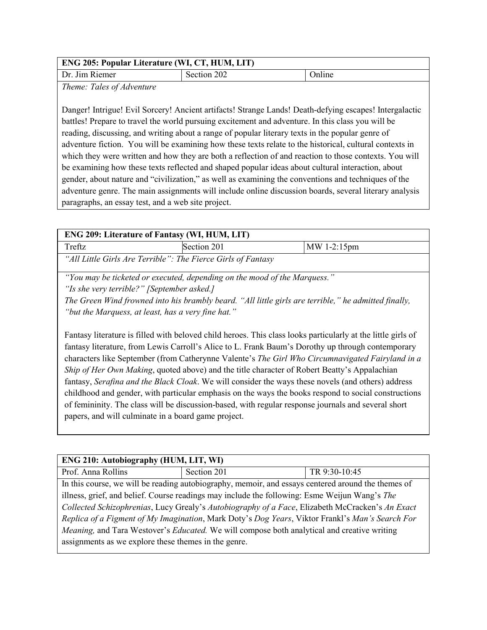| <b>ENG 205: Popular Literature (WI, CT, HUM, LIT)</b> |             |        |
|-------------------------------------------------------|-------------|--------|
| Dr. Jim Riemer                                        | Section 202 | Online |

*Theme: Tales of Adventure*

Danger! Intrigue! Evil Sorcery! Ancient artifacts! Strange Lands! Death-defying escapes! Intergalactic battles! Prepare to travel the world pursuing excitement and adventure. In this class you will be reading, discussing, and writing about a range of popular literary texts in the popular genre of adventure fiction. You will be examining how these texts relate to the historical, cultural contexts in which they were written and how they are both a reflection of and reaction to those contexts. You will be examining how these texts reflected and shaped popular ideas about cultural interaction, about gender, about nature and "civilization," as well as examining the conventions and techniques of the adventure genre. The main assignments will include online discussion boards, several literary analysis paragraphs, an essay test, and a web site project.

| <b>ENG 209: Literature of Fantasy (WI, HUM, LIT)</b>                                                 |                                                                           |                                                                                                              |
|------------------------------------------------------------------------------------------------------|---------------------------------------------------------------------------|--------------------------------------------------------------------------------------------------------------|
| Treftz                                                                                               | Section 201                                                               | MW 1-2:15pm                                                                                                  |
|                                                                                                      | "All Little Girls Are Terrible": The Fierce Girls of Fantasy              |                                                                                                              |
|                                                                                                      | "You may be ticketed or executed, depending on the mood of the Marquess." |                                                                                                              |
|                                                                                                      | "Is she very terrible?" [September asked.]                                |                                                                                                              |
|                                                                                                      |                                                                           | The Green Wind frowned into his brambly beard. "All little girls are terrible," he admitted finally,         |
|                                                                                                      | "but the Marquess, at least, has a very fine hat."                        |                                                                                                              |
|                                                                                                      |                                                                           | Fantasy literature is filled with beloved child heroes. This class looks particularly at the little girls of |
| fantasy literature, from Lewis Carroll's Alice to L. Frank Baum's Dorothy up through contemporary    |                                                                           |                                                                                                              |
| characters like September (from Catherynne Valente's The Girl Who Circumnavigated Fairyland in a     |                                                                           |                                                                                                              |
| Ship of Her Own Making, quoted above) and the title character of Robert Beatty's Appalachian         |                                                                           |                                                                                                              |
| fantasy, Serafina and the Black Cloak. We will consider the ways these novels (and others) address   |                                                                           |                                                                                                              |
| childhood and gender, with particular emphasis on the ways the books respond to social constructions |                                                                           |                                                                                                              |

of femininity. The class will be discussion-based, with regular response journals and several short

papers, and will culminate in a board game project.

| <b>ENG 210: Autobiography (HUM, LIT, WI)</b>                                                                |                                                                                                    |               |  |
|-------------------------------------------------------------------------------------------------------------|----------------------------------------------------------------------------------------------------|---------------|--|
| Prof. Anna Rollins                                                                                          | Section 201                                                                                        | TR 9:30-10:45 |  |
|                                                                                                             | In this course, we will be reading autobiography, memoir, and essays centered around the themes of |               |  |
| illness, grief, and belief. Course readings may include the following: Esme Weijun Wang's The               |                                                                                                    |               |  |
| Collected Schizophrenias, Lucy Grealy's Autobiography of a Face, Elizabeth McCracken's An Exact             |                                                                                                    |               |  |
| Replica of a Figment of My Imagination, Mark Doty's Dog Years, Viktor Frankl's Man's Search For             |                                                                                                    |               |  |
| <i>Meaning</i> , and Tara Westover's <i>Educated</i> . We will compose both analytical and creative writing |                                                                                                    |               |  |
| assignments as we explore these themes in the genre.                                                        |                                                                                                    |               |  |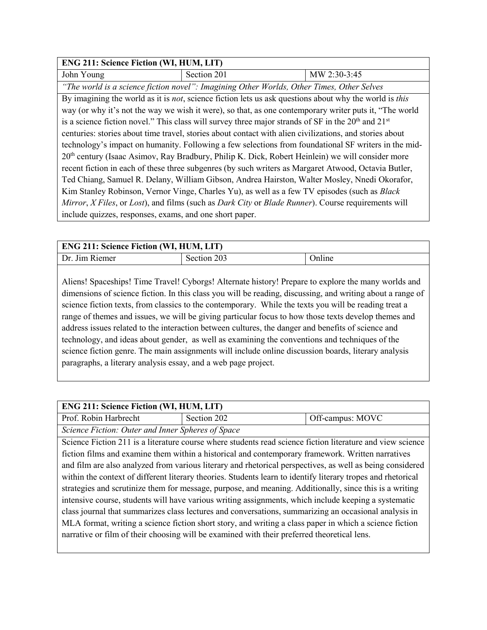| <b>ENG 211: Science Fiction (WI, HUM, LIT)</b>                                                               |                                                                                                         |              |
|--------------------------------------------------------------------------------------------------------------|---------------------------------------------------------------------------------------------------------|--------------|
| John Young                                                                                                   | Section 201                                                                                             | MW 2:30-3:45 |
|                                                                                                              | "The world is a science fiction novel": Imagining Other Worlds, Other Times, Other Selves               |              |
|                                                                                                              | By imagining the world as it is not, science fiction lets us ask questions about why the world is this  |              |
|                                                                                                              | way (or why it's not the way we wish it were), so that, as one contemporary writer puts it, "The world  |              |
|                                                                                                              | is a science fiction novel." This class will survey three major strands of SF in the $20th$ and $21st$  |              |
|                                                                                                              | centuries: stories about time travel, stories about contact with alien civilizations, and stories about |              |
| technology's impact on humanity. Following a few selections from foundational SF writers in the mid-         |                                                                                                         |              |
| 20 <sup>th</sup> century (Isaac Asimov, Ray Bradbury, Philip K. Dick, Robert Heinlein) we will consider more |                                                                                                         |              |
| recent fiction in each of these three subgenres (by such writers as Margaret Atwood, Octavia Butler,         |                                                                                                         |              |
|                                                                                                              | Ted Chiang, Samuel R. Delany, William Gibson, Andrea Hairston, Walter Mosley, Nnedi Okorafor,           |              |
| Kim Stanley Robinson, Vernor Vinge, Charles Yu), as well as a few TV episodes (such as <i>Black</i>          |                                                                                                         |              |
| Mirror, X Files, or Lost), and films (such as Dark City or Blade Runner). Course requirements will           |                                                                                                         |              |
| include quizzes, responses, exams, and one short paper.                                                      |                                                                                                         |              |

| <b>ENG 211: Science Fiction (WI, HUM, LIT)</b> |             |               |
|------------------------------------------------|-------------|---------------|
| Dr. Jim Riemer                                 | Section 203 | <b>Online</b> |

Aliens! Spaceships! Time Travel! Cyborgs! Alternate history! Prepare to explore the many worlds and dimensions of science fiction. In this class you will be reading, discussing, and writing about a range of science fiction texts, from classics to the contemporary. While the texts you will be reading treat a range of themes and issues, we will be giving particular focus to how those texts develop themes and address issues related to the interaction between cultures, the danger and benefits of science and technology, and ideas about gender, as well as examining the conventions and techniques of the science fiction genre. The main assignments will include online discussion boards, literary analysis paragraphs, a literary analysis essay, and a web page project.

#### **ENG 211: Science Fiction (WI, HUM, LIT)**

| Prof. Robin Harbrecht                             | Section 202 | Off-campus: MOVC |
|---------------------------------------------------|-------------|------------------|
| Science Fiction: Outer and Inner Spheres of Space |             |                  |

Science Fiction 211 is a literature course where students read science fiction literature and view science fiction films and examine them within a historical and contemporary framework. Written narratives and film are also analyzed from various literary and rhetorical perspectives, as well as being considered within the context of different literary theories. Students learn to identify literary tropes and rhetorical strategies and scrutinize them for message, purpose, and meaning. Additionally, since this is a writing intensive course, students will have various writing assignments, which include keeping a systematic class journal that summarizes class lectures and conversations, summarizing an occasional analysis in MLA format, writing a science fiction short story, and writing a class paper in which a science fiction narrative or film of their choosing will be examined with their preferred theoretical lens.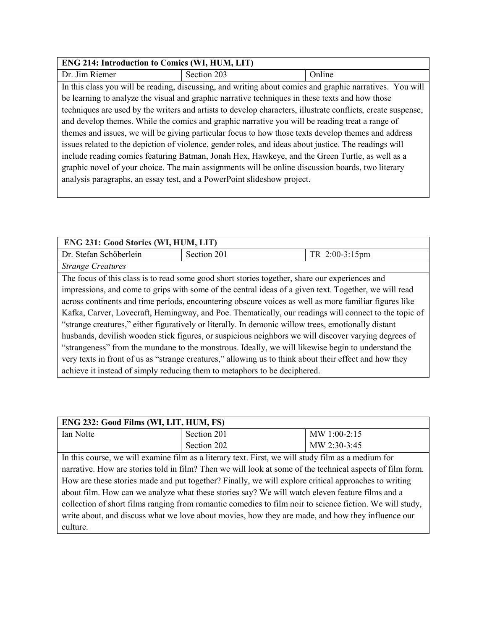## **ENG 214: Introduction to Comics (WI, HUM, LIT)**

| Dr. Jim Riemer                                                                                        | Section 203                                                                                                  | Online |  |
|-------------------------------------------------------------------------------------------------------|--------------------------------------------------------------------------------------------------------------|--------|--|
|                                                                                                       | In this class you will be reading, discussing, and writing about comics and graphic narratives. You will     |        |  |
|                                                                                                       | be learning to analyze the visual and graphic narrative techniques in these texts and how those              |        |  |
|                                                                                                       | techniques are used by the writers and artists to develop characters, illustrate conflicts, create suspense, |        |  |
| and develop themes. While the comics and graphic narrative you will be reading treat a range of       |                                                                                                              |        |  |
| themes and issues, we will be giving particular focus to how those texts develop themes and address   |                                                                                                              |        |  |
| issues related to the depiction of violence, gender roles, and ideas about justice. The readings will |                                                                                                              |        |  |
| include reading comics featuring Batman, Jonah Hex, Hawkeye, and the Green Turtle, as well as a       |                                                                                                              |        |  |
|                                                                                                       | graphic novel of your choice. The main assignments will be online discussion boards, two literary            |        |  |
|                                                                                                       | analysis paragraphs, an essay test, and a PowerPoint slideshow project.                                      |        |  |

| ENG 231: Good Stories (WI, HUM, LIT)                                                                   |                                                                                                       |                |  |
|--------------------------------------------------------------------------------------------------------|-------------------------------------------------------------------------------------------------------|----------------|--|
| Dr. Stefan Schöberlein                                                                                 | Section 201                                                                                           | TR 2:00-3:15pm |  |
| <b>Strange Creatures</b>                                                                               |                                                                                                       |                |  |
|                                                                                                        | The focus of this class is to read some good short stories together, share our experiences and        |                |  |
|                                                                                                        | impressions, and come to grips with some of the central ideas of a given text. Together, we will read |                |  |
| across continents and time periods, encountering obscure voices as well as more familiar figures like  |                                                                                                       |                |  |
| Kafka, Carver, Lovecraft, Hemingway, and Poe. Thematically, our readings will connect to the topic of  |                                                                                                       |                |  |
| "strange creatures," either figuratively or literally. In demonic willow trees, emotionally distant    |                                                                                                       |                |  |
| husbands, devilish wooden stick figures, or suspicious neighbors we will discover varying degrees of   |                                                                                                       |                |  |
| "strangeness" from the mundane to the monstrous. Ideally, we will likewise begin to understand the     |                                                                                                       |                |  |
| very texts in front of us as "strange creatures," allowing us to think about their effect and how they |                                                                                                       |                |  |
|                                                                                                        | achieve it instead of simply reducing them to metaphors to be deciphered.                             |                |  |

| ENG 232: Good Films (WI, LIT, HUM, FS)                                                                    |                                                                                                    |              |
|-----------------------------------------------------------------------------------------------------------|----------------------------------------------------------------------------------------------------|--------------|
| Ian Nolte                                                                                                 | Section 201                                                                                        | MW 1:00-2:15 |
|                                                                                                           | Section 202                                                                                        | MW 2:30-3:45 |
|                                                                                                           | In this course, we will examine film as a literary text. First, we will study film as a medium for |              |
| narrative. How are stories told in film? Then we will look at some of the technical aspects of film form. |                                                                                                    |              |
| How are these stories made and put together? Finally, we will explore critical approaches to writing      |                                                                                                    |              |
| about film. How can we analyze what these stories say? We will watch eleven feature films and a           |                                                                                                    |              |
| collection of short films ranging from romantic comedies to film noir to science fiction. We will study,  |                                                                                                    |              |
| write about, and discuss what we love about movies, how they are made, and how they influence our         |                                                                                                    |              |
| culture.                                                                                                  |                                                                                                    |              |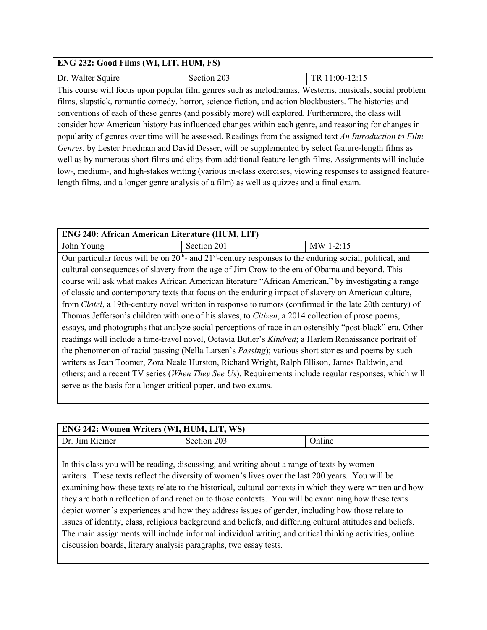| ENG 232: Good Films (WI, LIT, HUM, FS)                                                                     |                                                                                                        |                |
|------------------------------------------------------------------------------------------------------------|--------------------------------------------------------------------------------------------------------|----------------|
| Dr. Walter Squire                                                                                          | Section 203                                                                                            | TR 11:00-12:15 |
|                                                                                                            | This course will focus upon popular film genres such as melodramas, Westerns, musicals, social problem |                |
|                                                                                                            | films, slapstick, romantic comedy, horror, science fiction, and action blockbusters. The histories and |                |
|                                                                                                            | conventions of each of these genres (and possibly more) will explored. Furthermore, the class will     |                |
| consider how American history has influenced changes within each genre, and reasoning for changes in       |                                                                                                        |                |
| popularity of genres over time will be assessed. Readings from the assigned text An Introduction to Film   |                                                                                                        |                |
| Genres, by Lester Friedman and David Desser, will be supplemented by select feature-length films as        |                                                                                                        |                |
| well as by numerous short films and clips from additional feature-length films. Assignments will include   |                                                                                                        |                |
| low-, medium-, and high-stakes writing (various in-class exercises, viewing responses to assigned feature- |                                                                                                        |                |
| length films, and a longer genre analysis of a film) as well as quizzes and a final exam.                  |                                                                                                        |                |

| <b>ENG 240: African American Literature (HUM, LIT)</b>                                                        |                                                                                                                 |           |
|---------------------------------------------------------------------------------------------------------------|-----------------------------------------------------------------------------------------------------------------|-----------|
| John Young                                                                                                    | Section 201                                                                                                     | MW 1-2:15 |
|                                                                                                               | Our particular focus will be on $20th$ - and $21st$ -century responses to the enduring social, political, and   |           |
|                                                                                                               | cultural consequences of slavery from the age of Jim Crow to the era of Obama and beyond. This                  |           |
|                                                                                                               | course will ask what makes African American literature "African American," by investigating a range             |           |
|                                                                                                               | of classic and contemporary texts that focus on the enduring impact of slavery on American culture,             |           |
|                                                                                                               | from <i>Clotel</i> , a 19th-century novel written in response to rumors (confirmed in the late 20th century) of |           |
| Thomas Jefferson's children with one of his slaves, to <i>Citizen</i> , a 2014 collection of prose poems,     |                                                                                                                 |           |
| essays, and photographs that analyze social perceptions of race in an ostensibly "post-black" era. Other      |                                                                                                                 |           |
| readings will include a time-travel novel, Octavia Butler's <i>Kindred</i> ; a Harlem Renaissance portrait of |                                                                                                                 |           |
| the phenomenon of racial passing (Nella Larsen's <i>Passing</i> ); various short stories and poems by such    |                                                                                                                 |           |
| writers as Jean Toomer, Zora Neale Hurston, Richard Wright, Ralph Ellison, James Baldwin, and                 |                                                                                                                 |           |
| others; and a recent TV series (When They See Us). Requirements include regular responses, which will         |                                                                                                                 |           |
| serve as the basis for a longer critical paper, and two exams.                                                |                                                                                                                 |           |

| <b>ENG 242: Women Writers (WI, HUM, LIT, WS)</b> |             |        |
|--------------------------------------------------|-------------|--------|
| Dr. Jim Riemer                                   | Section 203 | Online |
|                                                  |             |        |

In this class you will be reading, discussing, and writing about a range of texts by women writers. These texts reflect the diversity of women's lives over the last 200 years. You will be examining how these texts relate to the historical, cultural contexts in which they were written and how they are both a reflection of and reaction to those contexts. You will be examining how these texts depict women's experiences and how they address issues of gender, including how those relate to issues of identity, class, religious background and beliefs, and differing cultural attitudes and beliefs. The main assignments will include informal individual writing and critical thinking activities, online discussion boards, literary analysis paragraphs, two essay tests.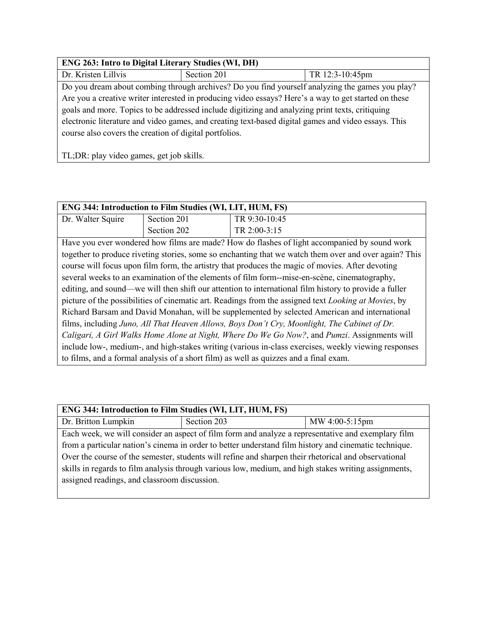| <b>ENG 263: Intro to Digital Literary Studies (WI, DH)</b>                                          |                                                                                                      |                 |  |
|-----------------------------------------------------------------------------------------------------|------------------------------------------------------------------------------------------------------|-----------------|--|
| Dr. Kristen Lillvis                                                                                 | Section 201                                                                                          | TR 12:3-10:45pm |  |
|                                                                                                     | Do you dream about combing through archives? Do you find yourself analyzing the games you play?      |                 |  |
|                                                                                                     | Are you a creative writer interested in producing video essays? Here's a way to get started on these |                 |  |
| goals and more. Topics to be addressed include digitizing and analyzing print texts, critiquing     |                                                                                                      |                 |  |
| electronic literature and video games, and creating text-based digital games and video essays. This |                                                                                                      |                 |  |
| course also covers the creation of digital portfolios.                                              |                                                                                                      |                 |  |
|                                                                                                     |                                                                                                      |                 |  |
| TL; DR: play video games, get job skills.                                                           |                                                                                                      |                 |  |

| <b>ENG 344: Introduction to Film Studies (WI, LIT, HUM, FS)</b>                                              |                                                                                       |                                                                                                       |  |
|--------------------------------------------------------------------------------------------------------------|---------------------------------------------------------------------------------------|-------------------------------------------------------------------------------------------------------|--|
| Dr. Walter Squire                                                                                            | Section 201                                                                           | TR 9:30-10:45                                                                                         |  |
|                                                                                                              | Section 202                                                                           | TR 2:00-3:15                                                                                          |  |
|                                                                                                              |                                                                                       | Have you ever wondered how films are made? How do flashes of light accompanied by sound work          |  |
|                                                                                                              |                                                                                       | together to produce riveting stories, some so enchanting that we watch them over and over again? This |  |
|                                                                                                              |                                                                                       | course will focus upon film form, the artistry that produces the magic of movies. After devoting      |  |
|                                                                                                              |                                                                                       | several weeks to an examination of the elements of film form--mise-en-scène, cinematography,          |  |
| editing, and sound—we will then shift our attention to international film history to provide a fuller        |                                                                                       |                                                                                                       |  |
| picture of the possibilities of cinematic art. Readings from the assigned text <i>Looking at Movies</i> , by |                                                                                       |                                                                                                       |  |
| Richard Barsam and David Monahan, will be supplemented by selected American and international                |                                                                                       |                                                                                                       |  |
| films, including Juno, All That Heaven Allows, Boys Don't Cry, Moonlight, The Cabinet of Dr.                 |                                                                                       |                                                                                                       |  |
| Caligari, A Girl Walks Home Alone at Night, Where Do We Go Now?, and Pumzi. Assignments will                 |                                                                                       |                                                                                                       |  |
| include low-, medium-, and high-stakes writing (various in-class exercises, weekly viewing responses         |                                                                                       |                                                                                                       |  |
|                                                                                                              | to films, and a formal analysis of a short film) as well as quizzes and a final exam. |                                                                                                       |  |

| ENG 344: Introduction to Film Studies (WI, LIT, HUM, FS)                                              |                                                                                                    |                |  |
|-------------------------------------------------------------------------------------------------------|----------------------------------------------------------------------------------------------------|----------------|--|
| Dr. Britton Lumpkin                                                                                   | Section 203                                                                                        | MW 4:00-5:15pm |  |
|                                                                                                       | Each week, we will consider an aspect of film form and analyze a representative and exemplary film |                |  |
| from a particular nation's cinema in order to better understand film history and cinematic technique. |                                                                                                    |                |  |
| Over the course of the semester, students will refine and sharpen their rhetorical and observational  |                                                                                                    |                |  |
| skills in regards to film analysis through various low, medium, and high stakes writing assignments,  |                                                                                                    |                |  |
| assigned readings, and classroom discussion.                                                          |                                                                                                    |                |  |
|                                                                                                       |                                                                                                    |                |  |

L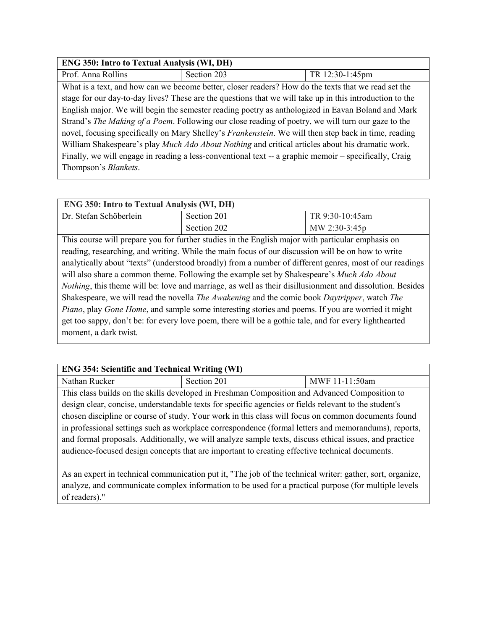| <b>ENG 350: Intro to Textual Analysis (WI, DH)</b>                                                         |                                                                                                          |                 |
|------------------------------------------------------------------------------------------------------------|----------------------------------------------------------------------------------------------------------|-----------------|
| Prof. Anna Rollins                                                                                         | Section 203                                                                                              | TR 12:30-1:45pm |
|                                                                                                            | What is a text, and how can we become better, closer readers? How do the texts that we read set the      |                 |
|                                                                                                            | stage for our day-to-day lives? These are the questions that we will take up in this introduction to the |                 |
| English major. We will begin the semester reading poetry as anthologized in Eavan Boland and Mark          |                                                                                                          |                 |
| Strand's <i>The Making of a Poem</i> . Following our close reading of poetry, we will turn our gaze to the |                                                                                                          |                 |
| novel, focusing specifically on Mary Shelley's Frankenstein. We will then step back in time, reading       |                                                                                                          |                 |
| William Shakespeare's play Much Ado About Nothing and critical articles about his dramatic work.           |                                                                                                          |                 |
| Finally, we will engage in reading a less-conventional text -- a graphic memoir - specifically, Craig      |                                                                                                          |                 |
| Thompson's <i>Blankets</i> .                                                                               |                                                                                                          |                 |

| <b>ENG 350: Intro to Textual Analysis (WI, DH)</b> |             |                  |
|----------------------------------------------------|-------------|------------------|
| Dr. Stefan Schöberlein                             | Section 201 | TR 9:30-10:45am  |
|                                                    | Section 202 | MW 2:30-3:45 $p$ |

This course will prepare you for further studies in the English major with particular emphasis on reading, researching, and writing. While the main focus of our discussion will be on how to write analytically about "texts" (understood broadly) from a number of different genres, most of our readings will also share a common theme. Following the example set by Shakespeare's *Much Ado About Nothing*, this theme will be: love and marriage, as well as their disillusionment and dissolution. Besides Shakespeare, we will read the novella *The Awakening* and the comic book *Daytripper*, watch *The Piano*, play *Gone Home*, and sample some interesting stories and poems. If you are worried it might get too sappy, don't be: for every love poem, there will be a gothic tale, and for every lighthearted moment, a dark twist.

| <b>ENG 354: Scientific and Technical Writing (WI)</b>                                                  |             |                |
|--------------------------------------------------------------------------------------------------------|-------------|----------------|
| Nathan Rucker                                                                                          | Section 201 | MWF 11-11:50am |
| This class builds on the skills developed in Freshman Composition and Advanced Composition to          |             |                |
| design clear, concise, understandable texts for specific agencies or fields relevant to the student's  |             |                |
| chosen discipline or course of study. Your work in this class will focus on common documents found     |             |                |
| in professional settings such as workplace correspondence (formal letters and memorandums), reports,   |             |                |
| and formal proposals. Additionally, we will analyze sample texts, discuss ethical issues, and practice |             |                |

As an expert in technical communication put it, "The job of the technical writer: gather, sort, organize, analyze, and communicate complex information to be used for a practical purpose (for multiple levels of readers)."

audience-focused design concepts that are important to creating effective technical documents.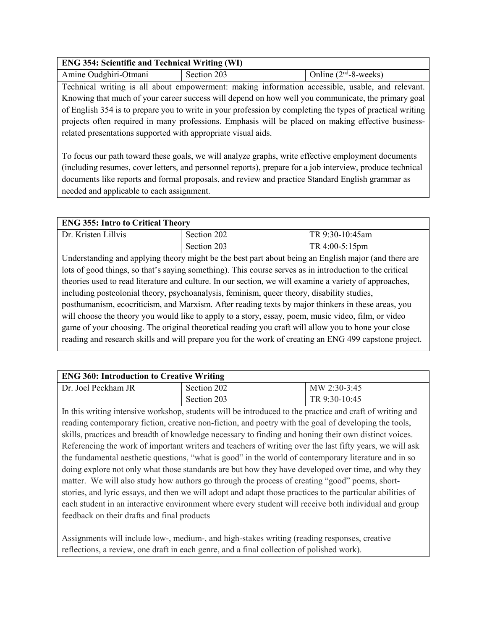#### **ENG 354: Scientific and Technical Writing (WI)**

Amine Oudghiri-Otmani Section 203 | Online (2<sup>nd</sup>-8-weeks)

Technical writing is all about empowerment: making information accessible, usable, and relevant. Knowing that much of your career success will depend on how well you communicate, the primary goal of English 354 is to prepare you to write in your profession by completing the types of practical writing projects often required in many professions. Emphasis will be placed on making effective businessrelated presentations supported with appropriate visual aids.

To focus our path toward these goals, we will analyze graphs, write effective employment documents (including resumes, cover letters, and personnel reports), prepare for a job interview, produce technical documents like reports and formal proposals, and review and practice Standard English grammar as needed and applicable to each assignment.

#### **ENG 355: Intro to Critical Theory**

| Dr. Kristen Lillvis                                                                                    | Section 202                                                                                             | TR 9:30-10:45am |
|--------------------------------------------------------------------------------------------------------|---------------------------------------------------------------------------------------------------------|-----------------|
|                                                                                                        | Section 203                                                                                             | TR 4:00-5:15pm  |
|                                                                                                        | Understanding and applying theory might be the best part about being an English major (and there are    |                 |
|                                                                                                        | lots of good things, so that's saying something). This course serves as in introduction to the critical |                 |
| theories used to read literature and culture. In our section, we will examine a variety of approaches, |                                                                                                         |                 |
| including postcolonial theory, psychoanalysis, feminism, queer theory, disability studies,             |                                                                                                         |                 |
| posthumanism, ecocriticism, and Marxism. After reading texts by major thinkers in these areas, you     |                                                                                                         |                 |
| will choose the theory you would like to apply to a story, essay, poem, music video, film, or video    |                                                                                                         |                 |
|                                                                                                        | game of your choosing. The original theoretical reading you craft will allow you to hone your close     |                 |
|                                                                                                        | reading and research skills and will prepare you for the work of creating an ENG 499 capstone project.  |                 |

### **ENG 360: Introduction to Creative Writing**

| Dr. Joel Peckham JR | Section 202 | MW 2:30-3:45  |
|---------------------|-------------|---------------|
|                     | Section 203 | TR 9:30-10:45 |

In this writing intensive workshop, students will be introduced to the practice and craft of writing and reading contemporary fiction, creative non-fiction, and poetry with the goal of developing the tools, skills, practices and breadth of knowledge necessary to finding and honing their own distinct voices. Referencing the work of important writers and teachers of writing over the last fifty years, we will ask the fundamental aesthetic questions, "what is good" in the world of contemporary literature and in so doing explore not only what those standards are but how they have developed over time, and why they matter. We will also study how authors go through the process of creating "good" poems, shortstories, and lyric essays, and then we will adopt and adapt those practices to the particular abilities of each student in an interactive environment where every student will receive both individual and group feedback on their drafts and final products

Assignments will include low-, medium-, and high-stakes writing (reading responses, creative reflections, a review, one draft in each genre, and a final collection of polished work).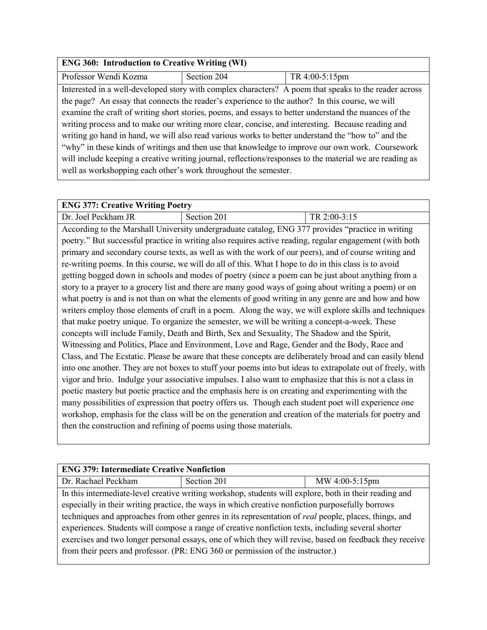| <b>ENG 360: Introduction to Creative Writing (WI)</b>                                                    |             |                                                                                                       |
|----------------------------------------------------------------------------------------------------------|-------------|-------------------------------------------------------------------------------------------------------|
| Professor Wendi Kozma                                                                                    | Section 204 | TR 4:00-5:15pm                                                                                        |
|                                                                                                          |             | Interested in a well-developed story with complex characters? A poem that speaks to the reader across |
| the page? An essay that connects the reader's experience to the author? In this course, we will          |             |                                                                                                       |
| examine the craft of writing short stories, poems, and essays to better understand the nuances of the    |             |                                                                                                       |
| writing process and to make our writing more clear, concise, and interesting. Because reading and        |             |                                                                                                       |
| writing go hand in hand, we will also read various works to better understand the "how to" and the       |             |                                                                                                       |
| "why" in these kinds of writings and then use that knowledge to improve our own work. Coursework         |             |                                                                                                       |
| will include keeping a creative writing journal, reflections/responses to the material we are reading as |             |                                                                                                       |
| well as workshopping each other's work throughout the semester.                                          |             |                                                                                                       |

| <b>ENG 377: Creative Writing Poetry</b> |             |              |
|-----------------------------------------|-------------|--------------|
| Dr. Joel Peckham JR                     | Section 201 | TR 2:00-3:15 |

According to the Marshall University undergraduate catalog, ENG 377 provides "practice in writing poetry." But successful practice in writing also requires active reading, regular engagement (with both primary and secondary course texts, as well as with the work of our peers), and of course writing and re-writing poems. In this course, we will do all of this. What I hope to do in this class is to avoid getting bogged down in schools and modes of poetry (since a poem can be just about anything from a story to a prayer to a grocery list and there are many good ways of going about writing a poem) or on what poetry is and is not than on what the elements of good writing in any genre are and how and how writers employ those elements of craft in a poem. Along the way, we will explore skills and techniques that make poetry unique. To organize the semester, we will be writing a concept-a-week. These concepts will include Family, Death and Birth, Sex and Sexuality, The Shadow and the Spirit, Witnessing and Politics, Place and Environment, Love and Rage, Gender and the Body, Race and Class, and The Ecstatic. Please be aware that these concepts are deliberately broad and can easily blend into one another. They are not boxes to stuff your poems into but ideas to extrapolate out of freely, with vigor and brio. Indulge your associative impulses. I also want to emphasize that this is not a class in poetic mastery but poetic practice and the emphasis here is on creating and experimenting with the many possibilities of expression that poetry offers us. Though each student poet will experience one workshop, emphasis for the class will be on the generation and creation of the materials for poetry and then the construction and refining of poems using those materials.

| <b>ENG 379: Intermediate Creative Nonfiction</b>                                                        |                                                                                                        |                |  |
|---------------------------------------------------------------------------------------------------------|--------------------------------------------------------------------------------------------------------|----------------|--|
| Dr. Rachael Peckham                                                                                     | Section 201                                                                                            | MW 4:00-5:15pm |  |
|                                                                                                         | In this intermediate-level creative writing workshop, students will explore, both in their reading and |                |  |
| especially in their writing practice, the ways in which creative nonfiction purposefully borrows        |                                                                                                        |                |  |
| techniques and approaches from other genres in its representation of real people, places, things, and   |                                                                                                        |                |  |
| experiences. Students will compose a range of creative nonfiction texts, including several shorter      |                                                                                                        |                |  |
| exercises and two longer personal essays, one of which they will revise, based on feedback they receive |                                                                                                        |                |  |
| from their peers and professor. (PR: ENG 360 or permission of the instructor.)                          |                                                                                                        |                |  |
|                                                                                                         |                                                                                                        |                |  |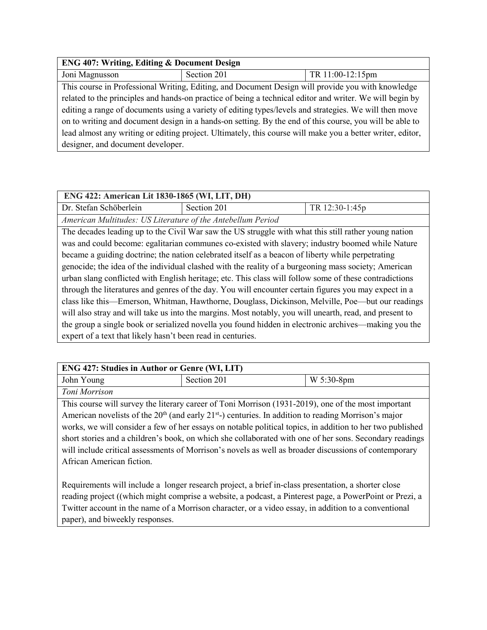| <b>ENG 407: Writing, Editing &amp; Document Design</b>                                                     |                                                                                                   |                  |
|------------------------------------------------------------------------------------------------------------|---------------------------------------------------------------------------------------------------|------------------|
| Joni Magnusson                                                                                             | Section 201                                                                                       | TR 11:00-12:15pm |
|                                                                                                            | This course in Professional Writing, Editing, and Document Design will provide you with knowledge |                  |
| related to the principles and hands-on practice of being a technical editor and writer. We will begin by   |                                                                                                   |                  |
| editing a range of documents using a variety of editing types/levels and strategies. We will then move     |                                                                                                   |                  |
| on to writing and document design in a hands-on setting. By the end of this course, you will be able to    |                                                                                                   |                  |
| lead almost any writing or editing project. Ultimately, this course will make you a better writer, editor, |                                                                                                   |                  |
| designer, and document developer.                                                                          |                                                                                                   |                  |

| ENG 422: American Lit 1830-1865 (WI, LIT, DH)                                                           |                                                                                                      |                |
|---------------------------------------------------------------------------------------------------------|------------------------------------------------------------------------------------------------------|----------------|
| Dr. Stefan Schöberlein                                                                                  | Section 201                                                                                          | TR 12:30-1:45p |
| American Multitudes: US Literature of the Antebellum Period                                             |                                                                                                      |                |
|                                                                                                         | The decades leading up to the Civil War saw the US struggle with what this still rather young nation |                |
|                                                                                                         | was and could become: egalitarian communes co-existed with slavery; industry boomed while Nature     |                |
|                                                                                                         | became a guiding doctrine; the nation celebrated itself as a beacon of liberty while perpetrating    |                |
| genocide; the idea of the individual clashed with the reality of a burgeoning mass society; American    |                                                                                                      |                |
| urban slang conflicted with English heritage; etc. This class will follow some of these contradictions  |                                                                                                      |                |
| through the literatures and genres of the day. You will encounter certain figures you may expect in a   |                                                                                                      |                |
| class like this—Emerson, Whitman, Hawthorne, Douglass, Dickinson, Melville, Poe—but our readings        |                                                                                                      |                |
| will also stray and will take us into the margins. Most notably, you will unearth, read, and present to |                                                                                                      |                |
|                                                                                                         | the group a single book or serialized novella you found hidden in electronic archives—making you the |                |
| expert of a text that likely hasn't been read in centuries.                                             |                                                                                                      |                |

| <b>ENG 427: Studies in Author or Genre (WI, LIT)</b>                                                               |             |              |
|--------------------------------------------------------------------------------------------------------------------|-------------|--------------|
| John Young                                                                                                         | Section 201 | $W$ 5:30-8pm |
| Toni Morrison                                                                                                      |             |              |
| This course will survey the literary career of Toni Morrison (1931-2019), one of the most important                |             |              |
| American novelists of the $20th$ (and early 21 <sup>st</sup> -) centuries. In addition to reading Morrison's major |             |              |

works, we will consider a few of her essays on notable political topics, in addition to her two published short stories and a children's book, on which she collaborated with one of her sons. Secondary readings will include critical assessments of Morrison's novels as well as broader discussions of contemporary African American fiction.

Requirements will include a longer research project, a brief in-class presentation, a shorter close reading project ((which might comprise a website, a podcast, a Pinterest page, a PowerPoint or Prezi, a Twitter account in the name of a Morrison character, or a video essay, in addition to a conventional paper), and biweekly responses.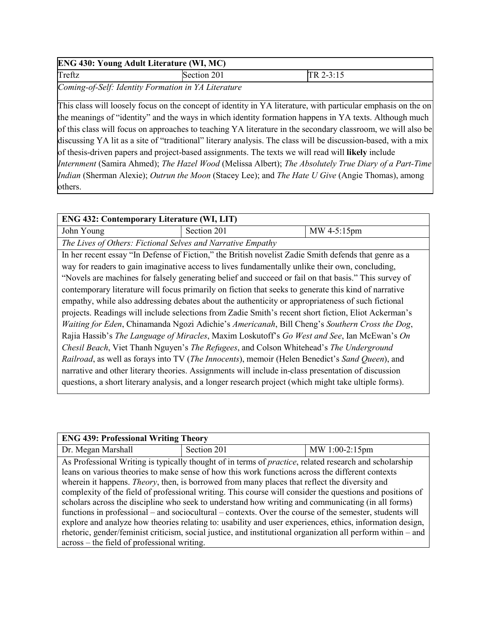#### **ENG 430: Young Adult Literature (WI, MC)**

Treftz Section 201 TR 2-3:15

*Coming-of-Self: Identity Formation in YA Literature*

This class will loosely focus on the concept of identity in YA literature, with particular emphasis on the on the meanings of "identity" and the ways in which identity formation happens in YA texts. Although much of this class will focus on approaches to teaching YA literature in the secondary classroom, we will also be discussing YA lit as a site of "traditional" literary analysis. The class will be discussion-based, with a mix of thesis-driven papers and project-based assignments. The texts we will read will **likely** include *Internment* (Samira Ahmed); *The Hazel Wood* (Melissa Albert); *The Absolutely True Diary of a Part-Time Indian* (Sherman Alexie); *Outrun the Moon* (Stacey Lee); and *The Hate U Give* (Angie Thomas), among others.

| <b>ENG 432: Contemporary Literature (WI, LIT)</b>                                                    |                                                                                                       |             |
|------------------------------------------------------------------------------------------------------|-------------------------------------------------------------------------------------------------------|-------------|
| John Young                                                                                           | Section 201                                                                                           | MW 4-5:15pm |
| The Lives of Others: Fictional Selves and Narrative Empathy                                          |                                                                                                       |             |
|                                                                                                      | In her recent essay "In Defense of Fiction," the British novelist Zadie Smith defends that genre as a |             |
|                                                                                                      | way for readers to gain imaginative access to lives fundamentally unlike their own, concluding,       |             |
|                                                                                                      | "Novels are machines for falsely generating belief and succeed or fail on that basis." This survey of |             |
|                                                                                                      | contemporary literature will focus primarily on fiction that seeks to generate this kind of narrative |             |
| empathy, while also addressing debates about the authenticity or appropriateness of such fictional   |                                                                                                       |             |
| projects. Readings will include selections from Zadie Smith's recent short fiction, Eliot Ackerman's |                                                                                                       |             |
| Waiting for Eden, Chinamanda Ngozi Adichie's Americanah, Bill Cheng's Southern Cross the Dog,        |                                                                                                       |             |
| Rajia Hassib's The Language of Miracles, Maxim Loskutoff's Go West and See, Ian McEwan's On          |                                                                                                       |             |
|                                                                                                      | Chesil Beach, Viet Thanh Nguyen's The Refugees, and Colson Whitehead's The Underground                |             |
| Railroad, as well as forays into TV (The Innocents), memoir (Helen Benedict's Sand Queen), and       |                                                                                                       |             |
|                                                                                                      | narrative and other literary theories. Assignments will include in-class presentation of discussion   |             |
|                                                                                                      | questions, a short literary analysis, and a longer research project (which might take ultiple forms). |             |

| <b>ENG 439: Professional Writing Theory</b>                                                                  |                                                                                                                |                |
|--------------------------------------------------------------------------------------------------------------|----------------------------------------------------------------------------------------------------------------|----------------|
| Dr. Megan Marshall                                                                                           | Section 201                                                                                                    | MW 1:00-2:15pm |
|                                                                                                              | As Professional Writing is typically thought of in terms of <i>practice</i> , related research and scholarship |                |
|                                                                                                              | leans on various theories to make sense of how this work functions across the different contexts               |                |
| wherein it happens. <i>Theory</i> , then, is borrowed from many places that reflect the diversity and        |                                                                                                                |                |
| complexity of the field of professional writing. This course will consider the questions and positions of    |                                                                                                                |                |
| scholars across the discipline who seek to understand how writing and communicating (in all forms)           |                                                                                                                |                |
| functions in professional – and sociocultural – contexts. Over the course of the semester, students will     |                                                                                                                |                |
| explore and analyze how theories relating to: usability and user experiences, ethics, information design,    |                                                                                                                |                |
| rhetoric, gender/feminist criticism, social justice, and institutional organization all perform within – and |                                                                                                                |                |
| across – the field of professional writing.                                                                  |                                                                                                                |                |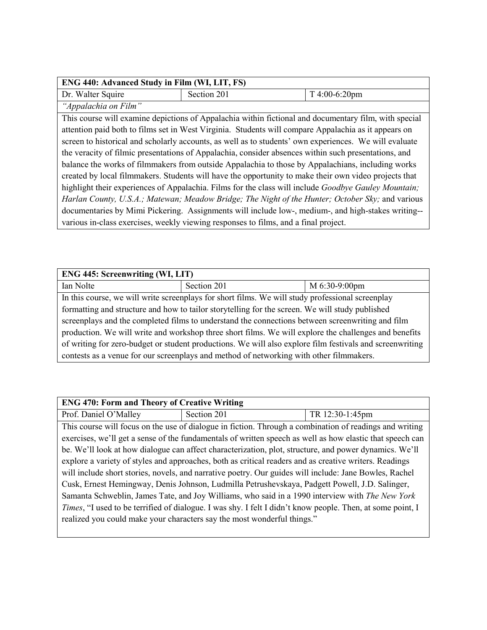| ENG 440: Advanced Study in Film (WI, LIT, FS)                                                                |                                                                                                       |               |
|--------------------------------------------------------------------------------------------------------------|-------------------------------------------------------------------------------------------------------|---------------|
| Dr. Walter Squire                                                                                            | Section 201                                                                                           | T 4:00-6:20pm |
| "Appalachia on Film"                                                                                         |                                                                                                       |               |
|                                                                                                              | This course will examine depictions of Appalachia within fictional and documentary film, with special |               |
| attention paid both to films set in West Virginia. Students will compare Appalachia as it appears on         |                                                                                                       |               |
| screen to historical and scholarly accounts, as well as to students' own experiences. We will evaluate       |                                                                                                       |               |
| the veracity of filmic presentations of Appalachia, consider absences within such presentations, and         |                                                                                                       |               |
| balance the works of filmmakers from outside Appalachia to those by Appalachians, including works            |                                                                                                       |               |
| created by local filmmakers. Students will have the opportunity to make their own video projects that        |                                                                                                       |               |
| highlight their experiences of Appalachia. Films for the class will include <i>Goodbye Gauley Mountain</i> ; |                                                                                                       |               |
| Harlan County, U.S.A.; Matewan; Meadow Bridge; The Night of the Hunter; October Sky; and various             |                                                                                                       |               |
| documentaries by Mimi Pickering. Assignments will include low-, medium-, and high-stakes writing--           |                                                                                                       |               |
| various in-class exercises, weekly viewing responses to films, and a final project.                          |                                                                                                       |               |

| <b>ENG 445: Screenwriting (WI, LIT)</b>                                                                  |             |               |
|----------------------------------------------------------------------------------------------------------|-------------|---------------|
| Ian Nolte                                                                                                | Section 201 | M 6:30-9:00pm |
| In this course, we will write screenplays for short films. We will study professional screenplay         |             |               |
| formatting and structure and how to tailor storytelling for the screen. We will study published          |             |               |
| screenplays and the completed films to understand the connections between screenwriting and film         |             |               |
| production. We will write and workshop three short films. We will explore the challenges and benefits    |             |               |
| of writing for zero-budget or student productions. We will also explore film festivals and screenwriting |             |               |
| contests as a venue for our screenplays and method of networking with other filmmakers.                  |             |               |

| <b>ENG 470: Form and Theory of Creative Writing</b>                                                       |             |                                                                                                            |
|-----------------------------------------------------------------------------------------------------------|-------------|------------------------------------------------------------------------------------------------------------|
| Prof. Daniel O'Malley                                                                                     | Section 201 | TR 12:30-1:45pm                                                                                            |
|                                                                                                           |             | This course will focus on the use of dialogue in fiction. Through a combination of readings and writing    |
| exercises, we'll get a sense of the fundamentals of written speech as well as how elastic that speech can |             |                                                                                                            |
| be. We'll look at how dialogue can affect characterization, plot, structure, and power dynamics. We'll    |             |                                                                                                            |
| explore a variety of styles and approaches, both as critical readers and as creative writers. Readings    |             |                                                                                                            |
|                                                                                                           |             | will include short stories, novels, and narrative poetry. Our guides will include: Jane Bowles, Rachel     |
| Cusk, Ernest Hemingway, Denis Johnson, Ludmilla Petrushevskaya, Padgett Powell, J.D. Salinger,            |             |                                                                                                            |
| Samanta Schweblin, James Tate, and Joy Williams, who said in a 1990 interview with The New York           |             |                                                                                                            |
|                                                                                                           |             | Times, "I used to be terrified of dialogue. I was shy. I felt I didn't know people. Then, at some point, I |
| realized you could make your characters say the most wonderful things."                                   |             |                                                                                                            |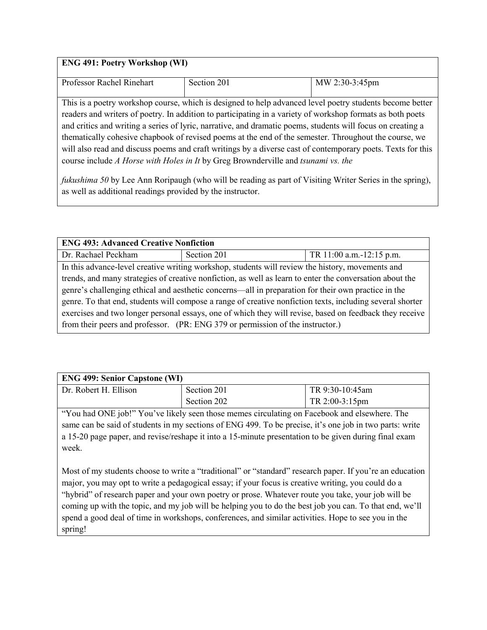#### **ENG 491: Poetry Workshop (WI)**

| Professor Rachel Rinehart                                                                                   | Section 201 | MW 2:30-3:45pm |
|-------------------------------------------------------------------------------------------------------------|-------------|----------------|
|                                                                                                             |             |                |
| This is a poetry workshop course, which is designed to help advanced level poetry students become better    |             |                |
| readers and writers of poetry. In addition to participating in a variety of workshop formats as both poets  |             |                |
| and critics and writing a series of lyric, narrative, and dramatic poems, students will focus on creating a |             |                |
| thematically cohesive chapbook of revised poems at the end of the semester. Throughout the course, we       |             |                |
| will also read and discuss poems and craft writings by a diverse cast of contemporary poets. Texts for this |             |                |
| course include A Horse with Holes in It by Greg Brownderville and tsunami vs. the                           |             |                |
|                                                                                                             |             |                |

*fukushima 50* by Lee Ann Roripaugh (who will be reading as part of Visiting Writer Series in the spring), as well as additional readings provided by the instructor.

| <b>ENG 493: Advanced Creative Nonfiction</b>                                                              |             |                          |
|-----------------------------------------------------------------------------------------------------------|-------------|--------------------------|
| Dr. Rachael Peckham                                                                                       | Section 201 | TR 11:00 a.m.-12:15 p.m. |
| In this advance-level creative writing workshop, students will review the history, movements and          |             |                          |
| trends, and many strategies of creative nonfiction, as well as learn to enter the conversation about the  |             |                          |
| genre's challenging ethical and aesthetic concerns—all in preparation for their own practice in the       |             |                          |
| genre. To that end, students will compose a range of creative nonfiction texts, including several shorter |             |                          |
| exercises and two longer personal essays, one of which they will revise, based on feedback they receive   |             |                          |
| from their peers and professor. (PR: ENG 379 or permission of the instructor.)                            |             |                          |

| <b>ENG 499: Senior Capstone (WI)</b> |             |                          |
|--------------------------------------|-------------|--------------------------|
| Dr. Robert H. Ellison                | Section 201 | TR 9:30-10:45am          |
|                                      | Section 202 | $TR 2:00-3:15 \text{pm}$ |

"You had ONE job!" You've likely seen those memes circulating on Facebook and elsewhere. The same can be said of students in my sections of ENG 499. To be precise, it's one job in two parts: write a 15-20 page paper, and revise/reshape it into a 15-minute presentation to be given during final exam week.

Most of my students choose to write a "traditional" or "standard" research paper. If you're an education major, you may opt to write a pedagogical essay; if your focus is creative writing, you could do a "hybrid" of research paper and your own poetry or prose. Whatever route you take, your job will be coming up with the topic, and my job will be helping you to do the best job you can. To that end, we'll spend a good deal of time in workshops, conferences, and similar activities. Hope to see you in the spring!